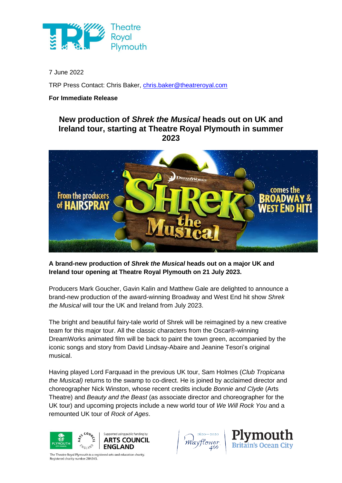

7 June 2022

TRP Press Contact: Chris Baker, [chris.baker@theatreroyal.com](mailto:chris.baker@theatreroyal.com)

## **For Immediate Release**

## **New production of** *Shrek the Musical* **heads out on UK and Ireland tour, starting at Theatre Royal Plymouth in summer 2023**



**A brand-new production of** *Shrek the Musical* **heads out on a major UK and Ireland tour opening at Theatre Royal Plymouth on 21 July 2023.**

Producers Mark Goucher, Gavin Kalin and Matthew Gale are delighted to announce a brand-new production of the award-winning Broadway and West End hit show *Shrek the Musical* will tour the UK and Ireland from July 2023.

The bright and beautiful fairy-tale world of Shrek will be reimagined by a new creative team for this major tour. All the classic characters from the Oscar®-winning DreamWorks animated film will be back to paint the town green, accompanied by the iconic songs and story from David Lindsay-Abaire and Jeanine Tesori's original musical.

Having played Lord Farquaad in the previous UK tour, Sam Holmes (*Club Tropicana the Musical)* returns to the swamp to co-direct. He is joined by acclaimed director and choreographer Nick Winston, whose recent credits include *Bonnie and Clyde* (Arts Theatre) and *Beauty and the Beast* (as associate director and choreographer for the UK tour) and upcoming projects include a new world tour of *We Will Rock You* and a remounted UK tour of *Rock of Ages*.







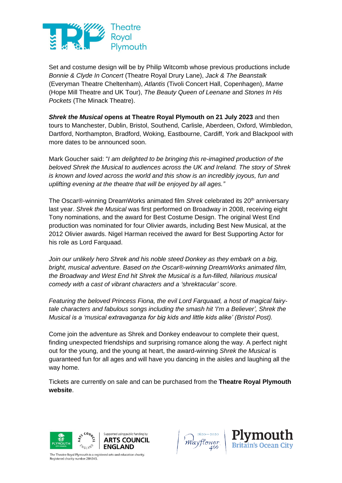

Set and costume design will be by Philip Witcomb whose previous productions include *Bonnie & Clyde In Concert* (Theatre Royal Drury Lane), *Jack & The Beanstalk* (Everyman Theatre Cheltenham), *Atlantis* (Tivoli Concert Hall, Copenhagen), *Mame* (Hope Mill Theatre and UK Tour), *The Beauty Queen of Leenane* and *Stones In His Pockets* (The Minack Theatre).

*Shrek the Musical* **opens at Theatre Royal Plymouth on 21 July 2023** and then tours to Manchester, Dublin, Bristol, Southend, Carlisle, Aberdeen, Oxford, Wimbledon, Dartford, Northampton, Bradford, Woking, Eastbourne, Cardiff, York and Blackpool with more dates to be announced soon.

Mark Goucher said: "*I am delighted to be bringing this re-imagined production of the beloved Shrek the Musical to audiences across the UK and Ireland. The story of Shrek is known and loved across the world and this show is an incredibly joyous, fun and uplifting evening at the theatre that will be enjoyed by all ages."*

The Oscar®-winning DreamWorks animated film *Shrek* celebrated its 20<sup>th</sup> anniversary last year. *Shrek the Musical* was first performed on Broadway in 2008, receiving eight Tony nominations, and the award for Best Costume Design. The original West End production was nominated for four Olivier awards, including Best New Musical, at the 2012 Olivier awards. Nigel Harman received the award for Best Supporting Actor for his role as Lord Farquaad.

Join our unlikely hero Shrek and his noble steed Donkey as they embark on a big, *bright, musical adventure. Based on the Oscar®-winning DreamWorks animated film, the Broadway and West End hit Shrek the Musical is a fun-filled, hilarious musical comedy with a cast of vibrant characters and a 'shrektacular' score.*

*Featuring the beloved Princess Fiona, the evil Lord Farquaad, a host of magical fairytale characters and fabulous songs including the smash hit 'I'm a Believer', Shrek the Musical is a 'musical extravaganza for big kids and little kids alike' (Bristol Post).*

Come join the adventure as Shrek and Donkey endeavour to complete their quest, finding unexpected friendships and surprising romance along the way. A perfect night out for the young, and the young at heart, the award-winning *Shrek the Musical* is guaranteed fun for all ages and will have you dancing in the aisles and laughing all the way home.

Tickets are currently on sale and can be purchased from the **[Theatre Royal Plymouth](https://theatreroyal.com/whats-on/shrek-2023/)  [website](https://theatreroyal.com/whats-on/shrek-2023/)**.